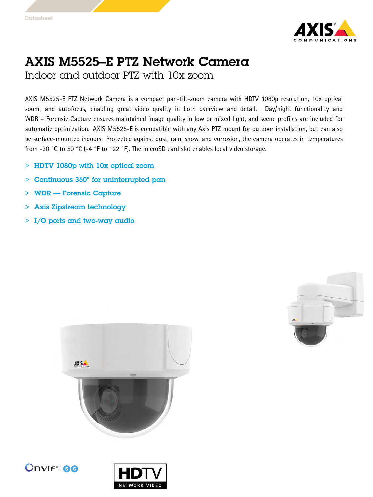

## AXIS M5525–E PTZ Network Camera

Indoor and outdoor PTZ with 10x zoom

AXIS M5525-E PTZ Network Camera is <sup>a</sup> compact pan-tilt-zoom camera with HDTV 1080p resolution, 10x optical zoom, and autofocus, enabling great video quality in both overview and detail. Day/night functionality and WDR – Forensic Capture ensures maintained image quality in low or mixed light, and scene profiles are included for automatic optimization. AXIS M5525-E is compatible with any Axis PTZ mount for outdoor installation, but can also be surface-mounted indoors. Protected against dust, rain, snow, and corrosion, the camera operates in temperatures from -20 °C to <sup>50</sup> °C (-4 °F to <sup>122</sup> °F). The microSD card slot enables local video storage.

- <sup>&</sup>gt; HDTV 1080p with 10x optical zoom
- <sup>&</sup>gt; Continuous 360° for uninterrupted pan
- <sup>&</sup>gt; WDR Forensic Capture
- <sup>&</sup>gt; Axis Zipstream technology
- <sup>&</sup>gt; I/O ports and two-way audio